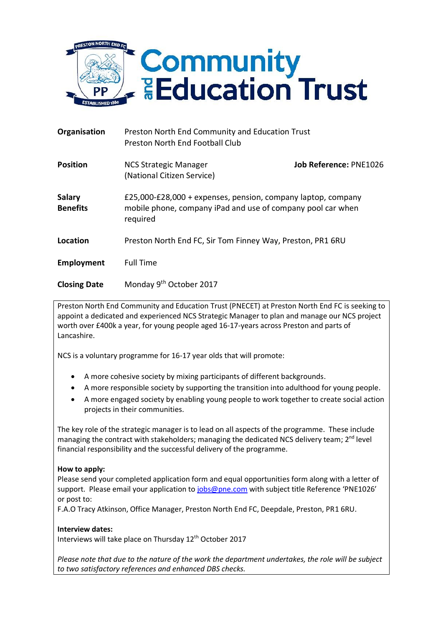

| Organisation                     | Preston North End Community and Education Trust<br>Preston North End Football Club |                                                                                                                             |  |
|----------------------------------|------------------------------------------------------------------------------------|-----------------------------------------------------------------------------------------------------------------------------|--|
| <b>Position</b>                  | <b>NCS Strategic Manager</b><br>(National Citizen Service)                         | Job Reference: PNE1026                                                                                                      |  |
| <b>Salary</b><br><b>Benefits</b> | required                                                                           | £25,000-£28,000 + expenses, pension, company laptop, company<br>mobile phone, company iPad and use of company pool car when |  |
| Location                         | Preston North End FC, Sir Tom Finney Way, Preston, PR1 6RU                         |                                                                                                                             |  |
| Employment                       | <b>Full Time</b>                                                                   |                                                                                                                             |  |
| <b>Closing Date</b>              | Monday 9th October 2017                                                            |                                                                                                                             |  |

Preston North End Community and Education Trust (PNECET) at Preston North End FC is seeking to appoint a dedicated and experienced NCS Strategic Manager to plan and manage our NCS project worth over £400k a year, for young people aged 16-17-years across Preston and parts of Lancashire.

NCS is a voluntary programme for 16-17 year olds that will promote:

- A more cohesive society by mixing participants of different backgrounds.
- A more responsible society by supporting the transition into adulthood for young people.
- A more engaged society by enabling young people to work together to create social action projects in their communities.

The key role of the strategic manager is to lead on all aspects of the programme. These include managing the contract with stakeholders; managing the dedicated NCS delivery team; 2<sup>nd</sup> level financial responsibility and the successful delivery of the programme.

## **How to apply:**

Please send your completed application form and equal opportunities form along with a letter of support. Please email your application to [jobs@pne.com](mailto:jobs@pne.com) with subject title Reference 'PNE1026' or post to:

F.A.O Tracy Atkinson, Office Manager, Preston North End FC, Deepdale, Preston, PR1 6RU.

## **Interview dates:**

Interviews will take place on Thursday 12<sup>th</sup> October 2017

*Please note that due to the nature of the work the department undertakes, the role will be subject to two satisfactory references and enhanced DBS checks.*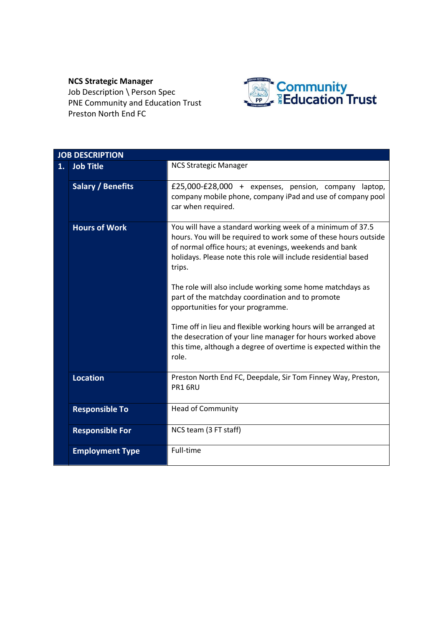## **NCS Strategic Manager**

Job Description \ Person Spec PNE Community and Education Trust Preston North End FC



|    | <b>JOB DESCRIPTION</b>   |                                                                                                                                                                                                                                                                     |
|----|--------------------------|---------------------------------------------------------------------------------------------------------------------------------------------------------------------------------------------------------------------------------------------------------------------|
| 1. | <b>Job Title</b>         | <b>NCS Strategic Manager</b>                                                                                                                                                                                                                                        |
|    | <b>Salary / Benefits</b> | £25,000-£28,000 + expenses, pension, company laptop,<br>company mobile phone, company iPad and use of company pool<br>car when required.                                                                                                                            |
|    | <b>Hours of Work</b>     | You will have a standard working week of a minimum of 37.5<br>hours. You will be required to work some of these hours outside<br>of normal office hours; at evenings, weekends and bank<br>holidays. Please note this role will include residential based<br>trips. |
|    |                          | The role will also include working some home matchdays as<br>part of the matchday coordination and to promote<br>opportunities for your programme.                                                                                                                  |
|    |                          | Time off in lieu and flexible working hours will be arranged at<br>the desecration of your line manager for hours worked above<br>this time, although a degree of overtime is expected within the<br>role.                                                          |
|    | <b>Location</b>          | Preston North End FC, Deepdale, Sir Tom Finney Way, Preston,<br>PR1 6RU                                                                                                                                                                                             |
|    | <b>Responsible To</b>    | <b>Head of Community</b>                                                                                                                                                                                                                                            |
|    | <b>Responsible For</b>   | NCS team (3 FT staff)                                                                                                                                                                                                                                               |
|    | <b>Employment Type</b>   | Full-time                                                                                                                                                                                                                                                           |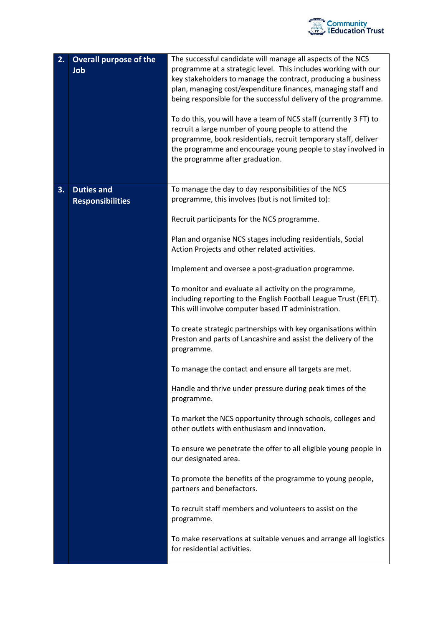

| 2. | <b>Overall purpose of the</b><br>Job         | The successful candidate will manage all aspects of the NCS<br>programme at a strategic level. This includes working with our<br>key stakeholders to manage the contract, producing a business<br>plan, managing cost/expenditure finances, managing staff and<br>being responsible for the successful delivery of the programme.<br>To do this, you will have a team of NCS staff (currently 3 FT) to<br>recruit a large number of young people to attend the<br>programme, book residentials, recruit temporary staff, deliver<br>the programme and encourage young people to stay involved in<br>the programme after graduation. |
|----|----------------------------------------------|-------------------------------------------------------------------------------------------------------------------------------------------------------------------------------------------------------------------------------------------------------------------------------------------------------------------------------------------------------------------------------------------------------------------------------------------------------------------------------------------------------------------------------------------------------------------------------------------------------------------------------------|
| 3. | <b>Duties and</b><br><b>Responsibilities</b> | To manage the day to day responsibilities of the NCS<br>programme, this involves (but is not limited to):                                                                                                                                                                                                                                                                                                                                                                                                                                                                                                                           |
|    |                                              | Recruit participants for the NCS programme.                                                                                                                                                                                                                                                                                                                                                                                                                                                                                                                                                                                         |
|    |                                              | Plan and organise NCS stages including residentials, Social<br>Action Projects and other related activities.                                                                                                                                                                                                                                                                                                                                                                                                                                                                                                                        |
|    |                                              | Implement and oversee a post-graduation programme.                                                                                                                                                                                                                                                                                                                                                                                                                                                                                                                                                                                  |
|    |                                              | To monitor and evaluate all activity on the programme,<br>including reporting to the English Football League Trust (EFLT).<br>This will involve computer based IT administration.                                                                                                                                                                                                                                                                                                                                                                                                                                                   |
|    |                                              | To create strategic partnerships with key organisations within<br>Preston and parts of Lancashire and assist the delivery of the<br>programme.                                                                                                                                                                                                                                                                                                                                                                                                                                                                                      |
|    |                                              | To manage the contact and ensure all targets are met.                                                                                                                                                                                                                                                                                                                                                                                                                                                                                                                                                                               |
|    |                                              | Handle and thrive under pressure during peak times of the<br>programme.                                                                                                                                                                                                                                                                                                                                                                                                                                                                                                                                                             |
|    |                                              | To market the NCS opportunity through schools, colleges and<br>other outlets with enthusiasm and innovation.                                                                                                                                                                                                                                                                                                                                                                                                                                                                                                                        |
|    |                                              | To ensure we penetrate the offer to all eligible young people in<br>our designated area.                                                                                                                                                                                                                                                                                                                                                                                                                                                                                                                                            |
|    |                                              | To promote the benefits of the programme to young people,<br>partners and benefactors.                                                                                                                                                                                                                                                                                                                                                                                                                                                                                                                                              |
|    |                                              | To recruit staff members and volunteers to assist on the<br>programme.                                                                                                                                                                                                                                                                                                                                                                                                                                                                                                                                                              |
|    |                                              | To make reservations at suitable venues and arrange all logistics<br>for residential activities.                                                                                                                                                                                                                                                                                                                                                                                                                                                                                                                                    |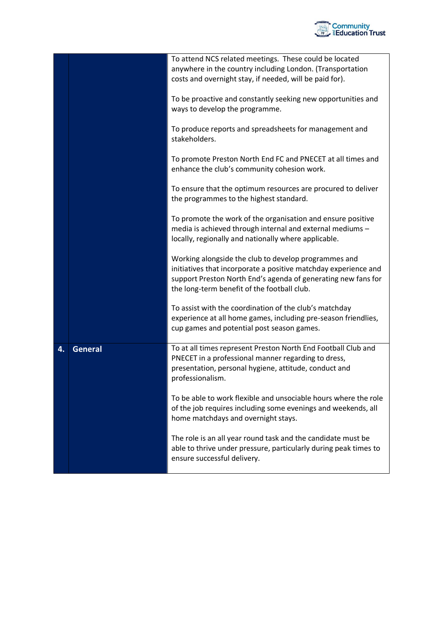

|    |                | To attend NCS related meetings. These could be located           |
|----|----------------|------------------------------------------------------------------|
|    |                | anywhere in the country including London. (Transportation        |
|    |                | costs and overnight stay, if needed, will be paid for).          |
|    |                |                                                                  |
|    |                | To be proactive and constantly seeking new opportunities and     |
|    |                |                                                                  |
|    |                | ways to develop the programme.                                   |
|    |                |                                                                  |
|    |                | To produce reports and spreadsheets for management and           |
|    |                | stakeholders.                                                    |
|    |                |                                                                  |
|    |                | To promote Preston North End FC and PNECET at all times and      |
|    |                | enhance the club's community cohesion work.                      |
|    |                |                                                                  |
|    |                | To ensure that the optimum resources are procured to deliver     |
|    |                | the programmes to the highest standard.                          |
|    |                |                                                                  |
|    |                |                                                                  |
|    |                | To promote the work of the organisation and ensure positive      |
|    |                | media is achieved through internal and external mediums -        |
|    |                | locally, regionally and nationally where applicable.             |
|    |                |                                                                  |
|    |                | Working alongside the club to develop programmes and             |
|    |                | initiatives that incorporate a positive matchday experience and  |
|    |                | support Preston North End's agenda of generating new fans for    |
|    |                | the long-term benefit of the football club.                      |
|    |                |                                                                  |
|    |                | To assist with the coordination of the club's matchday           |
|    |                |                                                                  |
|    |                | experience at all home games, including pre-season friendlies,   |
|    |                | cup games and potential post season games.                       |
|    |                |                                                                  |
| 4. | <b>General</b> | To at all times represent Preston North End Football Club and    |
|    |                | PNECET in a professional manner regarding to dress,              |
|    |                | presentation, personal hygiene, attitude, conduct and            |
|    |                | professionalism.                                                 |
|    |                |                                                                  |
|    |                | To be able to work flexible and unsociable hours where the role  |
|    |                |                                                                  |
|    |                | of the job requires including some evenings and weekends, all    |
|    |                | home matchdays and overnight stays.                              |
|    |                |                                                                  |
|    |                | The role is an all year round task and the candidate must be     |
|    |                | able to thrive under pressure, particularly during peak times to |
|    |                | ensure successful delivery.                                      |
|    |                |                                                                  |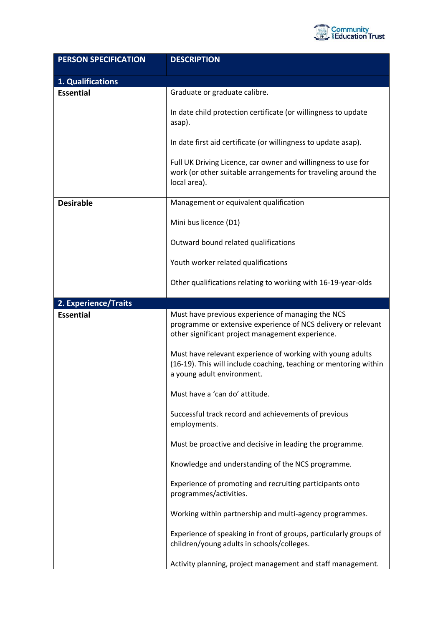

| <b>PERSON SPECIFICATION</b> | <b>DESCRIPTION</b>                                                                                                                                                     |
|-----------------------------|------------------------------------------------------------------------------------------------------------------------------------------------------------------------|
| 1. Qualifications           |                                                                                                                                                                        |
| <b>Essential</b>            | Graduate or graduate calibre.                                                                                                                                          |
|                             | In date child protection certificate (or willingness to update<br>asap).                                                                                               |
|                             | In date first aid certificate (or willingness to update asap).                                                                                                         |
|                             | Full UK Driving Licence, car owner and willingness to use for<br>work (or other suitable arrangements for traveling around the<br>local area).                         |
| <b>Desirable</b>            | Management or equivalent qualification                                                                                                                                 |
|                             | Mini bus licence (D1)                                                                                                                                                  |
|                             | Outward bound related qualifications                                                                                                                                   |
|                             | Youth worker related qualifications                                                                                                                                    |
|                             | Other qualifications relating to working with 16-19-year-olds                                                                                                          |
| 2. Experience/Traits        |                                                                                                                                                                        |
| <b>Essential</b>            | Must have previous experience of managing the NCS<br>programme or extensive experience of NCS delivery or relevant<br>other significant project management experience. |
|                             | Must have relevant experience of working with young adults<br>(16-19). This will include coaching, teaching or mentoring within<br>a young adult environment.          |
|                             | Must have a 'can do' attitude.                                                                                                                                         |
|                             | Successful track record and achievements of previous<br>employments.                                                                                                   |
|                             | Must be proactive and decisive in leading the programme.                                                                                                               |
|                             | Knowledge and understanding of the NCS programme.                                                                                                                      |
|                             | Experience of promoting and recruiting participants onto<br>programmes/activities.                                                                                     |
|                             | Working within partnership and multi-agency programmes.                                                                                                                |
|                             | Experience of speaking in front of groups, particularly groups of<br>children/young adults in schools/colleges.                                                        |
|                             | Activity planning, project management and staff management.                                                                                                            |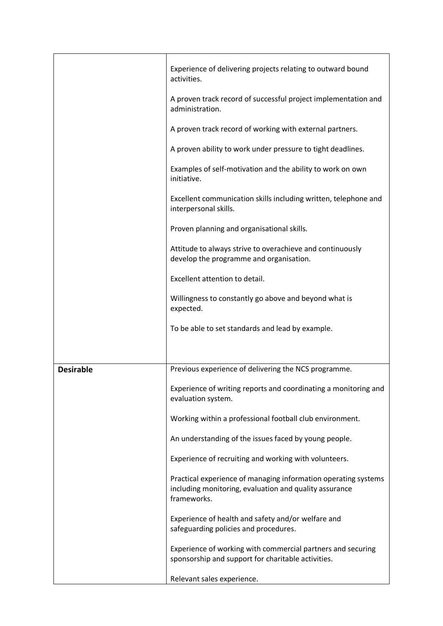|                  | Experience of delivering projects relating to outward bound                                                                             |
|------------------|-----------------------------------------------------------------------------------------------------------------------------------------|
|                  | activities.                                                                                                                             |
|                  | A proven track record of successful project implementation and<br>administration.                                                       |
|                  | A proven track record of working with external partners.                                                                                |
|                  | A proven ability to work under pressure to tight deadlines.                                                                             |
|                  | Examples of self-motivation and the ability to work on own<br>initiative.                                                               |
|                  | Excellent communication skills including written, telephone and<br>interpersonal skills.                                                |
|                  | Proven planning and organisational skills.                                                                                              |
|                  | Attitude to always strive to overachieve and continuously<br>develop the programme and organisation.                                    |
|                  | Excellent attention to detail.                                                                                                          |
|                  | Willingness to constantly go above and beyond what is<br>expected.                                                                      |
|                  | To be able to set standards and lead by example.                                                                                        |
|                  |                                                                                                                                         |
| <b>Desirable</b> | Previous experience of delivering the NCS programme.                                                                                    |
|                  | Experience of writing reports and coordinating a monitoring and<br>evaluation system.                                                   |
|                  | Working within a professional football club environment.                                                                                |
|                  | An understanding of the issues faced by young people.                                                                                   |
|                  | Experience of recruiting and working with volunteers.                                                                                   |
|                  | Practical experience of managing information operating systems<br>including monitoring, evaluation and quality assurance<br>frameworks. |
|                  | Experience of health and safety and/or welfare and<br>safeguarding policies and procedures.                                             |
|                  | Experience of working with commercial partners and securing<br>sponsorship and support for charitable activities.                       |
|                  | Relevant sales experience.                                                                                                              |